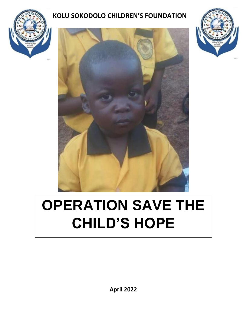

# **KOLU SOKODOLO CHILDREN'S FOUNDATION**





# **OPERATION SAVE THE CHILD'S HOPE**

**April 2022**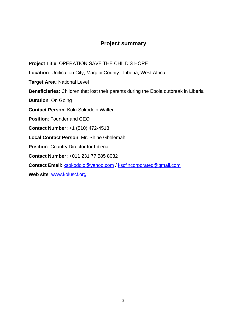# **Project summary**

**Location**: Unification City, Margibi County - Liberia, West Africa **Target Area**: National Level **Beneficiaries**: Children that lost their parents during the Ebola outbreak in Liberia **Duration**: On Going **Contact Person**: Kolu Sokodolo Walter **Position**: Founder and CEO **Contact Number:** +1 (510) 472-4513 **Local Contact Person**: Mr. Shine Gbelemah **Position: Country Director for Liberia Contact Number:** +011 231 77 585 8032 **Contact Email**: [ksokodolo@yahoo.com](mailto:ksokodolo@yahoo.com) / [kscfincorporated@gmail.com](mailto:kscfincorporated@gmail.com)

**Project Title**: OPERATION SAVE THE CHILD'S HOPE

**Web site**: [www.koluscf.org](http://www.koluscf.org/)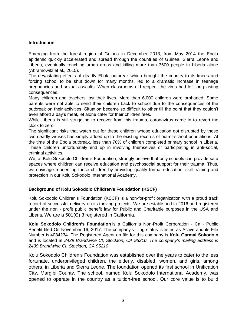#### **Introduction**

Emerging from the forest region of Guinea in December 2013, from May 2014 the Ebola epidemic quickly accelerated and spread through the countries of Guinea, Sierra Leone and Liberia, eventually reaching urban areas and killing more than 3600 people in Liberia alone (Abramowitz et al., 2015).

The devastating effects of deadly Ebola outbreak which brought the country to its knees and forcing school to be shut down for many months, led to a dramatic increase in teenage pregnancies and sexual assaults. When classrooms did reopen, the virus had left long-lasting consequences.

Many children and teachers lost their lives. More than 6,000 children were orphaned. Some parents were not able to send their children back to school due to the consequences of the outbreak on their activities. Situation became so difficult to other till the point that they couldn't even afford a day's meal, let alone cater for their children fees.

While Liberia is still struggling to recover from this trauma, coronavirus came in to revert the clock to zero.

The significant risks that watch out for these children whose education got disrupted by these two deadly viruses has simply added up to the existing records of out-of-school populations. At the time of the Ebola outbreak, less than 70% of children completed primary school in Liberia. These children unfortunately end up in involving themselves or participating in anti-social, criminal activities.

We, at Kolu Sokodolo Children's Foundation, strongly believe that only schools can provide safe spaces where children can receive education and psychosocial support for their trauma. Thus, we envisage reorienting these children by providing quality formal education, skill training and protection in our Kolu Sokodolo International Academy.

#### **Background of Kolu Sokodolo Children's Foundation (KSCF)**

Kolu Sokodolo Children's Foundation (KSCF) is a non-for-profit organization with a proud track record of successful delivery on its thriving projects. We are established in 2016 and registered under the non - profit public benefit law for Public and Charitable purposes in the USA and Liberia. We are a 501(C) 3 registered in California.

**Kolu Sokodolo Children's Foundation** is a California Non-Profit Corporation - Ca - Public Benefit filed On November 16, 2017. The company's filing status is listed as Active and its File Number is 4084234. The Registered Agent on file for this company is **Kolu Garmai Sokodolo** and is located at *2439 Brandwine Ct, Stockton, CA 95210. The company's mailing address is 2439 Brandwine Ct, Stockton, CA 95210*.

Kolu Sokodolo Children's Foundation was established over the years to cater to the less fortunate, underprivileged children, the elderly, disabled, women, and girls, among others, in Liberia and Sierra Leone. The foundation opened its first school in Unification City, Margibi County. The school, named Kolu Sokodolo International Academy, was opened to operate in the country as a tuition-free school. Our core value is to build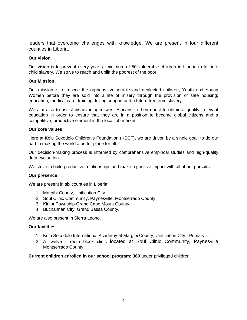leaders that overcome challenges with knowledge. We are present in four different counties in Liberia.

#### **Our vision**

Our vision is to prevent every year, a minimum of 50 vulnerable children in Liberia to fall into child slavery. We strive to reach and uplift the poorest of the poor.

#### **Our Mission**

Our mission is to rescue the orphans, vulnerable and neglected children, Youth and Young Women before they are sold into a life of misery through the provision of safe housing; education; medical care; training, loving support and a future free from slavery.

We aim also to assist disadvantaged west Africans in their quest to obtain a quality, relevant education in order to ensure that they are in a position to become global citizens and a competitive, productive element in the local job market.

#### **Our core values**

Here at Kolu Sokodolo Children's Foundation (KSCF), we are driven by a single goal; to do our part in making the world a better place for all.

Our decision-making process is informed by comprehensive empirical studies and high-quality data evaluation.

We strive to build productive relationships and make a positive impact with all of our pursuits.

#### **Our presence:**

We are present in six counties in Liberia:

- 1. Margibi County, Unification City
- 2. Soul Clinic Community, Paynesville, Montserrado County
- 3. Kinjor Township-Grand Cape Mount County,
- 4. Buchannan City, Grand Bassa County,

We are also present in Sierra Leone.

#### **Our facilities**:

- 1. Kolu Sokodolo International Academy at Margibi County, Unification City Primary
- 2. A twelve room block clinic located at Soul Clinic Community, Paynesville Montserrado County

**Current children enrolled in our school program: 360** under privileged children